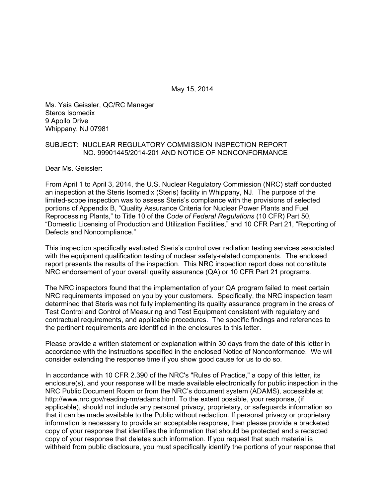May 15, 2014

Ms. Yais Geissler, QC/RC Manager Steros Isomedix 9 Apollo Drive Whippany, NJ 07981

#### SUBJECT: NUCLEAR REGULATORY COMMISSION INSPECTION REPORT NO. 99901445/2014-201 AND NOTICE OF NONCONFORMANCE

Dear Ms. Geissler:

From April 1 to April 3, 2014, the U.S. Nuclear Regulatory Commission (NRC) staff conducted an inspection at the Steris Isomedix (Steris) facility in Whippany, NJ. The purpose of the limited-scope inspection was to assess Steris's compliance with the provisions of selected portions of Appendix B, "Quality Assurance Criteria for Nuclear Power Plants and Fuel Reprocessing Plants," to Title 10 of the *Code of Federal Regulations* (10 CFR) Part 50, "Domestic Licensing of Production and Utilization Facilities," and 10 CFR Part 21, "Reporting of Defects and Noncompliance."

This inspection specifically evaluated Steris's control over radiation testing services associated with the equipment qualification testing of nuclear safety-related components. The enclosed report presents the results of the inspection. This NRC inspection report does not constitute NRC endorsement of your overall quality assurance (QA) or 10 CFR Part 21 programs.

The NRC inspectors found that the implementation of your QA program failed to meet certain NRC requirements imposed on you by your customers. Specifically, the NRC inspection team determined that Steris was not fully implementing its quality assurance program in the areas of Test Control and Control of Measuring and Test Equipment consistent with regulatory and contractual requirements, and applicable procedures. The specific findings and references to the pertinent requirements are identified in the enclosures to this letter.

Please provide a written statement or explanation within 30 days from the date of this letter in accordance with the instructions specified in the enclosed Notice of Nonconformance. We will consider extending the response time if you show good cause for us to do so.

In accordance with 10 CFR 2.390 of the NRC's "Rules of Practice," a copy of this letter, its enclosure(s), and your response will be made available electronically for public inspection in the NRC Public Document Room or from the NRC's document system (ADAMS), accessible at http://www.nrc.gov/reading-rm/adams.html. To the extent possible, your response, (if applicable), should not include any personal privacy, proprietary, or safeguards information so that it can be made available to the Public without redaction. If personal privacy or proprietary information is necessary to provide an acceptable response, then please provide a bracketed copy of your response that identifies the information that should be protected and a redacted copy of your response that deletes such information. If you request that such material is withheld from public disclosure, you must specifically identify the portions of your response that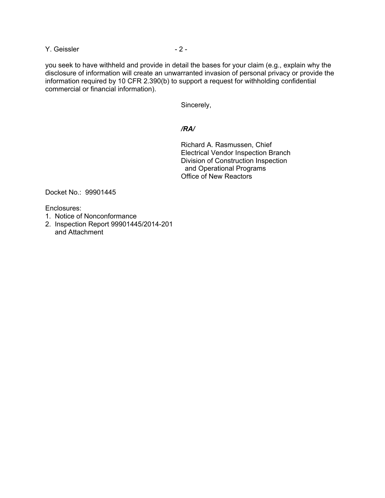Y. Geissler - 2 - 2 -

you seek to have withheld and provide in detail the bases for your claim (e.g., explain why the disclosure of information will create an unwarranted invasion of personal privacy or provide the information required by 10 CFR 2.390(b) to support a request for withholding confidential commercial or financial information).

Sincerely,

### */RA/*

Richard A. Rasmussen, Chief Electrical Vendor Inspection Branch Division of Construction Inspection and Operational Programs Office of New Reactors

Docket No.: 99901445

Enclosures:

- 1. Notice of Nonconformance
- 2. Inspection Report 99901445/2014-201 and Attachment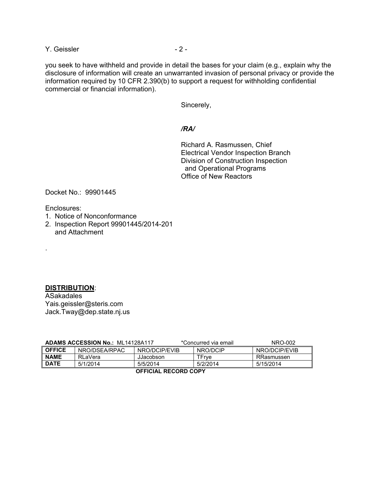Y. Geissler - 2 - 2 -

you seek to have withheld and provide in detail the bases for your claim (e.g., explain why the disclosure of information will create an unwarranted invasion of personal privacy or provide the information required by 10 CFR 2.390(b) to support a request for withholding confidential commercial or financial information).

Sincerely,

### */RA/*

Richard A. Rasmussen, Chief Electrical Vendor Inspection Branch Division of Construction Inspection and Operational Programs Office of New Reactors

Docket No.: 99901445

Enclosures:

.

- 1. Notice of Nonconformance
- 2. Inspection Report 99901445/2014-201 and Attachment

## **DISTRIBUTION**:

ASakadales Yais.geissler@steris.com Jack.Tway@dep.state.nj.us

| <b>ADAMS ACCESSION No.: ML14128A117</b> |                |               | *Concurred via email | NRO-002       |  |  |
|-----------------------------------------|----------------|---------------|----------------------|---------------|--|--|
| <b>OFFICE</b>                           | NRO/DSEA/RPAC  | NRO/DCIP/EVIB | NRO/DCIP             | NRO/DCIP/EVIB |  |  |
| <b>NAME</b>                             | <b>RLaVera</b> | JJacobson     | TFrve                | RRasmussen    |  |  |
| <b>DATE</b>                             | 5/1/2014       | 5/5/2014      | 5/2/2014             | 5/15/2014     |  |  |
|                                         |                |               |                      |               |  |  |

**OFFICIAL RECORD COPY**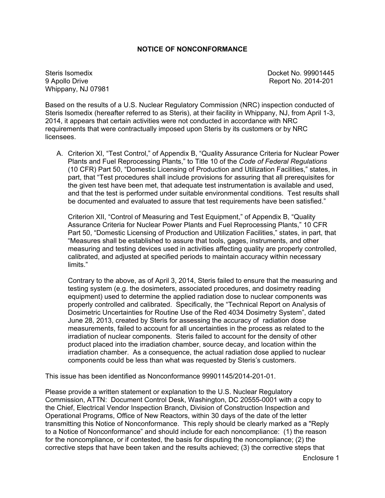### **NOTICE OF NONCONFORMANCE**

Steris Isomedix Docket No. 99901445 9 Apollo Drive Report No. 2014-201 Whippany, NJ 07981

Based on the results of a U.S. Nuclear Regulatory Commission (NRC) inspection conducted of Steris Isomedix (hereafter referred to as Steris), at their facility in Whippany, NJ, from April 1-3, 2014, it appears that certain activities were not conducted in accordance with NRC requirements that were contractually imposed upon Steris by its customers or by NRC licensees.

A. Criterion XI, "Test Control," of Appendix B, "Quality Assurance Criteria for Nuclear Power Plants and Fuel Reprocessing Plants," to Title 10 of the *Code of Federal Regulations* (10 CFR) Part 50, "Domestic Licensing of Production and Utilization Facilities," states, in part, that "Test procedures shall include provisions for assuring that all prerequisites for the given test have been met, that adequate test instrumentation is available and used, and that the test is performed under suitable environmental conditions. Test results shall be documented and evaluated to assure that test requirements have been satisfied."

Criterion XII, "Control of Measuring and Test Equipment," of Appendix B, "Quality Assurance Criteria for Nuclear Power Plants and Fuel Reprocessing Plants," 10 CFR Part 50, "Domestic Licensing of Production and Utilization Facilities," states, in part, that "Measures shall be established to assure that tools, gages, instruments, and other measuring and testing devices used in activities affecting quality are properly controlled, calibrated, and adjusted at specified periods to maintain accuracy within necessary limits."

Contrary to the above, as of April 3, 2014, Steris failed to ensure that the measuring and testing system (e.g. the dosimeters, associated procedures, and dosimetry reading equipment) used to determine the applied radiation dose to nuclear components was properly controlled and calibrated. Specifically, the "Technical Report on Analysis of Dosimetric Uncertainties for Routine Use of the Red 4034 Dosimetry System", dated June 28, 2013, created by Steris for assessing the accuracy of radiation dose measurements, failed to account for all uncertainties in the process as related to the irradiation of nuclear components. Steris failed to account for the density of other product placed into the irradiation chamber, source decay, and location within the irradiation chamber. As a consequence, the actual radiation dose applied to nuclear components could be less than what was requested by Steris's customers.

This issue has been identified as Nonconformance 99901145/2014-201-01.

Please provide a written statement or explanation to the U.S. Nuclear Regulatory Commission, ATTN: Document Control Desk, Washington, DC 20555-0001 with a copy to the Chief, Electrical Vendor Inspection Branch, Division of Construction Inspection and Operational Programs, Office of New Reactors, within 30 days of the date of the letter transmitting this Notice of Nonconformance. This reply should be clearly marked as a "Reply to a Notice of Nonconformance" and should include for each noncompliance: (1) the reason for the noncompliance, or if contested, the basis for disputing the noncompliance; (2) the corrective steps that have been taken and the results achieved; (3) the corrective steps that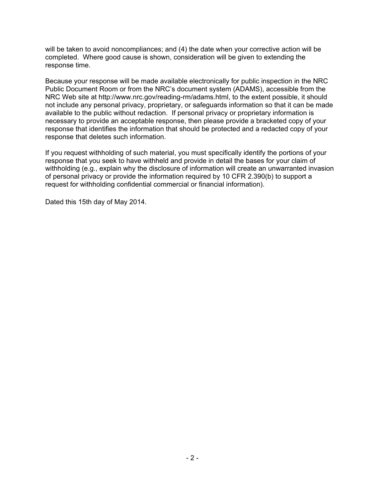will be taken to avoid noncompliances; and (4) the date when your corrective action will be completed. Where good cause is shown, consideration will be given to extending the response time.

Because your response will be made available electronically for public inspection in the NRC Public Document Room or from the NRC's document system (ADAMS), accessible from the NRC Web site at http://www.nrc.gov/reading-rm/adams.html, to the extent possible, it should not include any personal privacy, proprietary, or safeguards information so that it can be made available to the public without redaction. If personal privacy or proprietary information is necessary to provide an acceptable response, then please provide a bracketed copy of your response that identifies the information that should be protected and a redacted copy of your response that deletes such information.

If you request withholding of such material, you must specifically identify the portions of your response that you seek to have withheld and provide in detail the bases for your claim of withholding (e.g., explain why the disclosure of information will create an unwarranted invasion of personal privacy or provide the information required by 10 CFR 2.390(b) to support a request for withholding confidential commercial or financial information).

Dated this 15th day of May 2014.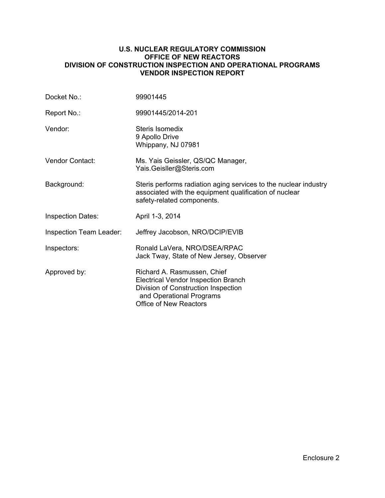#### **U.S. NUCLEAR REGULATORY COMMISSION OFFICE OF NEW REACTORS DIVISION OF CONSTRUCTION INSPECTION AND OPERATIONAL PROGRAMS VENDOR INSPECTION REPORT**

| Docket No.:                    | 99901445                                                                                                                                                                      |
|--------------------------------|-------------------------------------------------------------------------------------------------------------------------------------------------------------------------------|
| Report No.:                    | 99901445/2014-201                                                                                                                                                             |
| Vendor:                        | Steris Isomedix<br>9 Apollo Drive<br>Whippany, NJ 07981                                                                                                                       |
| Vendor Contact:                | Ms. Yais Geissler, QS/QC Manager,<br>Yais.Geisller@Steris.com                                                                                                                 |
| Background:                    | Steris performs radiation aging services to the nuclear industry<br>associated with the equipment qualification of nuclear<br>safety-related components.                      |
| <b>Inspection Dates:</b>       | April 1-3, 2014                                                                                                                                                               |
| <b>Inspection Team Leader:</b> | Jeffrey Jacobson, NRO/DCIP/EVIB                                                                                                                                               |
| Inspectors:                    | Ronald LaVera, NRO/DSEA/RPAC<br>Jack Tway, State of New Jersey, Observer                                                                                                      |
| Approved by:                   | Richard A. Rasmussen, Chief<br><b>Electrical Vendor Inspection Branch</b><br>Division of Construction Inspection<br>and Operational Programs<br><b>Office of New Reactors</b> |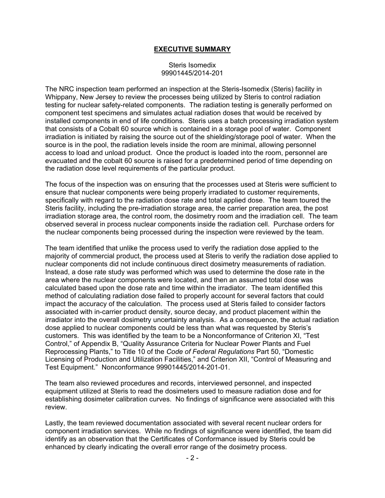### **EXECUTIVE SUMMARY**

#### Steris Isomedix 99901445/2014-201

The NRC inspection team performed an inspection at the Steris-Isomedix (Steris) facility in Whippany, New Jersey to review the processes being utilized by Steris to control radiation testing for nuclear safety-related components. The radiation testing is generally performed on component test specimens and simulates actual radiation doses that would be received by installed components in end of life conditions. Steris uses a batch processing irradiation system that consists of a Cobalt 60 source which is contained in a storage pool of water. Component irradiation is initiated by raising the source out of the shielding/storage pool of water. When the source is in the pool, the radiation levels inside the room are minimal, allowing personnel access to load and unload product. Once the product is loaded into the room, personnel are evacuated and the cobalt 60 source is raised for a predetermined period of time depending on the radiation dose level requirements of the particular product.

The focus of the inspection was on ensuring that the processes used at Steris were sufficient to ensure that nuclear components were being properly irradiated to customer requirements, specifically with regard to the radiation dose rate and total applied dose. The team toured the Steris facility, including the pre-irradiation storage area, the carrier preparation area, the post irradiation storage area, the control room, the dosimetry room and the irradiation cell. The team observed several in process nuclear components inside the radiation cell. Purchase orders for the nuclear components being processed during the inspection were reviewed by the team.

The team identified that unlike the process used to verify the radiation dose applied to the majority of commercial product, the process used at Steris to verify the radiation dose applied to nuclear components did not include continuous direct dosimetry measurements of radiation. Instead, a dose rate study was performed which was used to determine the dose rate in the area where the nuclear components were located, and then an assumed total dose was calculated based upon the dose rate and time within the irradiator. The team identified this method of calculating radiation dose failed to properly account for several factors that could impact the accuracy of the calculation. The process used at Steris failed to consider factors associated with in-carrier product density, source decay, and product placement within the irradiator into the overall dosimetry uncertainty analysis. As a consequence, the actual radiation dose applied to nuclear components could be less than what was requested by Steris's customers. This was identified by the team to be a Nonconformance of Criterion XI, "Test Control," of Appendix B, "Quality Assurance Criteria for Nuclear Power Plants and Fuel Reprocessing Plants," to Title 10 of the *Code of Federal Regulations* Part 50, "Domestic Licensing of Production and Utilization Facilities," and Criterion XII, "Control of Measuring and Test Equipment." Nonconformance 99901445/2014-201-01.

The team also reviewed procedures and records, interviewed personnel, and inspected equipment utilized at Steris to read the dosimeters used to measure radiation dose and for establishing dosimeter calibration curves. No findings of significance were associated with this review.

Lastly, the team reviewed documentation associated with several recent nuclear orders for component irradiation services. While no findings of significance were identified, the team did identify as an observation that the Certificates of Conformance issued by Steris could be enhanced by clearly indicating the overall error range of the dosimetry process.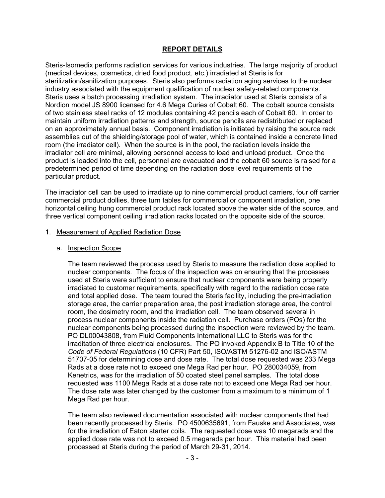# **REPORT DETAILS**

Steris-Isomedix performs radiation services for various industries. The large majority of product (medical devices, cosmetics, dried food product, etc.) irradiated at Steris is for sterilization/sanitization purposes. Steris also performs radiation aging services to the nuclear industry associated with the equipment qualification of nuclear safety-related components. Steris uses a batch processing irradiation system. The irradiator used at Steris consists of a Nordion model JS 8900 licensed for 4.6 Mega Curies of Cobalt 60. The cobalt source consists of two stainless steel racks of 12 modules containing 42 pencils each of Cobalt 60. In order to maintain uniform irradiation patterns and strength, source pencils are redistributed or replaced on an approximately annual basis. Component irradiation is initiated by raising the source rack assemblies out of the shielding/storage pool of water, which is contained inside a concrete lined room (the irradiator cell). When the source is in the pool, the radiation levels inside the irradiator cell are minimal, allowing personnel access to load and unload product. Once the product is loaded into the cell, personnel are evacuated and the cobalt 60 source is raised for a predetermined period of time depending on the radiation dose level requirements of the particular product.

The irradiator cell can be used to irradiate up to nine commercial product carriers, four off carrier commercial product dollies, three turn tables for commercial or component irradiation, one horizontal ceiling hung commercial product rack located above the water side of the source, and three vertical component ceiling irradiation racks located on the opposite side of the source.

#### 1. Measurement of Applied Radiation Dose

### a. Inspection Scope

The team reviewed the process used by Steris to measure the radiation dose applied to nuclear components. The focus of the inspection was on ensuring that the processes used at Steris were sufficient to ensure that nuclear components were being properly irradiated to customer requirements, specifically with regard to the radiation dose rate and total applied dose. The team toured the Steris facility, including the pre-irradiation storage area, the carrier preparation area, the post irradiation storage area, the control room, the dosimetry room, and the irradiation cell. The team observed several in process nuclear components inside the radiation cell. Purchase orders (POs) for the nuclear components being processed during the inspection were reviewed by the team. PO DL00043808, from Fluid Components International LLC to Steris was for the irraditation of three electrical enclosures. The PO invoked Appendix B to Title 10 of the *Code of Federal Regulations* (10 CFR) Part 50, ISO/ASTM 51276-02 and ISO/ASTM 51707-05 for determining dose and dose rate. The total dose requested was 233 Mega Rads at a dose rate not to exceed one Mega Rad per hour. PO 280034059, from Kenetrics, was for the irradiation of 50 coated steel panel samples. The total dose requested was 1100 Mega Rads at a dose rate not to exceed one Mega Rad per hour. The dose rate was later changed by the customer from a maximum to a minimum of 1 Mega Rad per hour.

The team also reviewed documentation associated with nuclear components that had been recently processed by Steris. PO 4500635691, from Fauske and Associates, was for the irradiation of Eaton starter coils. The requested dose was 10 megarads and the applied dose rate was not to exceed 0.5 megarads per hour. This material had been processed at Steris during the period of March 29-31, 2014.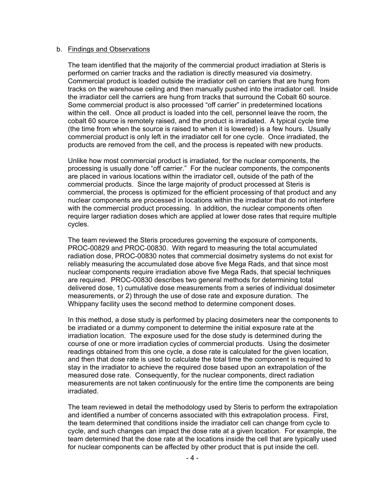#### b. Findings and Observations

The team identified that the majority of the commercial product irradiation at Steris is performed on carrier tracks and the radiation is directly measured via dosimetry. Commercial product is loaded outside the irradiator cell on carriers that are hung from tracks on the warehouse ceiling and then manually pushed into the irradiator cell. Inside the irradiator cell the carriers are hung from tracks that surround the Cobalt 60 source. Some commercial product is also processed "off carrier" in predetermined locations within the cell. Once all product is loaded into the cell, personnel leave the room, the cobalt 60 source is remotely raised, and the product is irradiated. A typical cycle time (the time from when the source is raised to when it is lowered) is a few hours. Usually commercial product is only left in the irradiator cell for one cycle. Once irradiated, the products are removed from the cell, and the process is repeated with new products.

Unlike how most commercial product is irradiated, for the nuclear components, the processing is usually done "off carrier." For the nuclear components, the components are placed in various locations within the irradiator cell, outside of the path of the commercial products. Since the large majority of product processed at Steris is commercial, the process is optimized for the efficient processing of that product and any nuclear components are processed in locations within the irradiator that do not interfere with the commercial product processing. In addition, the nuclear components often require larger radiation doses which are applied at lower dose rates that require multiple cycles.

The team reviewed the Steris procedures governing the exposure of components, PROC-00829 and PROC-00830. With regard to measuring the total accumulated radiation dose, PROC-00830 notes that commercial dosimetry systems do not exist for reliably measuring the accumulated dose above five Mega Rads, and that since most nuclear components require irradiation above five Mega Rads, that special techniques are required. PROC-00830 describes two general methods for determining total delivered dose, 1) cumulative dose measurements from a series of individual dosimeter measurements, or 2) through the use of dose rate and exposure duration. The Whippany facility uses the second method to determine component doses.

In this method, a dose study is performed by placing dosimeters near the components to be irradiated or a dummy component to determine the initial exposure rate at the irradiation location. The exposure used for the dose study is determined during the course of one or more irradiation cycles of commercial products. Using the dosimeter readings obtained from this one cycle, a dose rate is calculated for the given location, and then that dose rate is used to calculate the total time the component is required to stay in the irradiator to achieve the required dose based upon an extrapolation of the measured dose rate. Consequently, for the nuclear components, direct radiation measurements are not taken continuously for the entire time the components are being irradiated.

The team reviewed in detail the methodology used by Steris to perform the extrapolation and identified a number of concerns associated with this extrapolation process. First, the team determined that conditions inside the irradiator cell can change from cycle to cycle, and such changes can impact the dose rate at a given location. For example, the team determined that the dose rate at the locations inside the cell that are typically used for nuclear components can be affected by other product that is put inside the cell.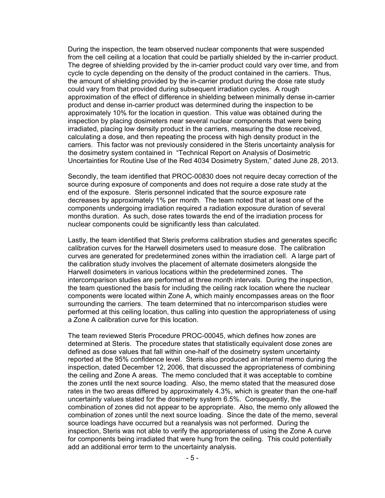During the inspection, the team observed nuclear components that were suspended from the cell ceiling at a location that could be partially shielded by the in-carrier product. The degree of shielding provided by the in-carrier product could vary over time, and from cycle to cycle depending on the density of the product contained in the carriers. Thus, the amount of shielding provided by the in-carrier product during the dose rate study could vary from that provided during subsequent irradiation cycles. A rough approximation of the effect of difference in shielding between minimally dense in-carrier product and dense in-carrier product was determined during the inspection to be approximately 10% for the location in question. This value was obtained during the inspection by placing dosimeters near several nuclear components that were being irradiated, placing low density product in the carriers, measuring the dose received, calculating a dose, and then repeating the process with high density product in the carriers. This factor was not previously considered in the Steris uncertainty analysis for the dosimetry system contained in "Technical Report on Analysis of Dosimetric Uncertainties for Routine Use of the Red 4034 Dosimetry System," dated June 28, 2013.

Secondly, the team identified that PROC-00830 does not require decay correction of the source during exposure of components and does not require a dose rate study at the end of the exposure. Steris personnel indicated that the source exposure rate decreases by approximately 1% per month. The team noted that at least one of the components undergoing irradiation required a radiation exposure duration of several months duration. As such, dose rates towards the end of the irradiation process for nuclear components could be significantly less than calculated.

Lastly, the team identified that Steris preforms calibration studies and generates specific calibration curves for the Harwell dosimeters used to measure dose. The calibration curves are generated for predetermined zones within the irradiation cell. A large part of the calibration study involves the placement of alternate dosimeters alongside the Harwell dosimeters in various locations within the predetermined zones. The intercomparison studies are performed at three month intervals. During the inspection, the team questioned the basis for including the ceiling rack location where the nuclear components were located within Zone A, which mainly encompasses areas on the floor surrounding the carriers. The team determined that no intercomparison studies were performed at this ceiling location, thus calling into question the appropriateness of using a Zone A calibration curve for this location.

The team reviewed Steris Procedure PROC-00045, which defines how zones are determined at Steris. The procedure states that statistically equivalent dose zones are defined as dose values that fall within one-half of the dosimetry system uncertainty reported at the 95% confidence level. Steris also produced an internal memo during the inspection, dated December 12, 2006, that discussed the appropriateness of combining the ceiling and Zone A areas. The memo concluded that it was acceptable to combine the zones until the next source loading. Also, the memo stated that the measured dose rates in the two areas differed by approximately 4.3%, which is greater than the one-half uncertainty values stated for the dosimetry system 6.5%. Consequently, the combination of zones did not appear to be appropriate. Also, the memo only allowed the combination of zones until the next source loading. Since the date of the memo, several source loadings have occurred but a reanalysis was not performed. During the inspection, Steris was not able to verify the appropriateness of using the Zone A curve for components being irradiated that were hung from the ceiling. This could potentially add an additional error term to the uncertainty analysis.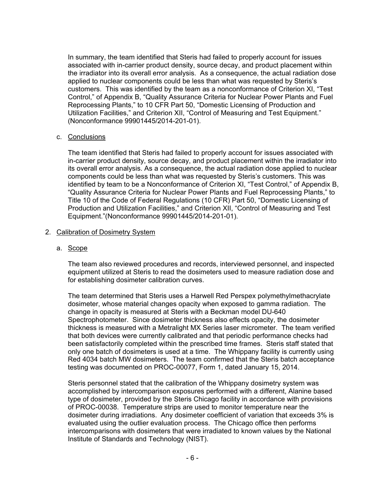In summary, the team identified that Steris had failed to properly account for issues associated with in-carrier product density, source decay, and product placement within the irradiator into its overall error analysis. As a consequence, the actual radiation dose applied to nuclear components could be less than what was requested by Steris's customers. This was identified by the team as a nonconformance of Criterion XI, "Test Control," of Appendix B, "Quality Assurance Criteria for Nuclear Power Plants and Fuel Reprocessing Plants," to 10 CFR Part 50, "Domestic Licensing of Production and Utilization Facilities," and Criterion XII, "Control of Measuring and Test Equipment." (Nonconformance 99901445/2014-201-01).

#### c. Conclusions

The team identified that Steris had failed to properly account for issues associated with in-carrier product density, source decay, and product placement within the irradiator into its overall error analysis. As a consequence, the actual radiation dose applied to nuclear components could be less than what was requested by Steris's customers. This was identified by team to be a Nonconformance of Criterion XI, "Test Control," of Appendix B, "Quality Assurance Criteria for Nuclear Power Plants and Fuel Reprocessing Plants," to Title 10 of the Code of Federal Regulations (10 CFR) Part 50, "Domestic Licensing of Production and Utilization Facilities," and Criterion XII, "Control of Measuring and Test Equipment."(Nonconformance 99901445/2014-201-01).

### 2. Calibration of Dosimetry System

### a. Scope

The team also reviewed procedures and records, interviewed personnel, and inspected equipment utilized at Steris to read the dosimeters used to measure radiation dose and for establishing dosimeter calibration curves.

The team determined that Steris uses a Harwell Red Perspex polymethylmethacrylate dosimeter, whose material changes opacity when exposed to gamma radiation. The change in opacity is measured at Steris with a Beckman model DU-640 Spectrophotometer. Since dosimeter thickness also effects opacity, the dosimeter thickness is measured with a Metralight MX Series laser micrometer. The team verified that both devices were currently calibrated and that periodic performance checks had been satisfactorily completed within the prescribed time frames. Steris staff stated that only one batch of dosimeters is used at a time. The Whippany facility is currently using Red 4034 batch MW dosimeters. The team confirmed that the Steris batch acceptance testing was documented on PROC-00077, Form 1, dated January 15, 2014.

Steris personnel stated that the calibration of the Whippany dosimetry system was accomplished by intercomparison exposures performed with a different, Alanine based type of dosimeter, provided by the Steris Chicago facility in accordance with provisions of PROC-00038. Temperature strips are used to monitor temperature near the dosimeter during irradiations. Any dosimeter coefficient of variation that exceeds 3% is evaluated using the outlier evaluation process. The Chicago office then performs intercomparisons with dosimeters that were irradiated to known values by the National Institute of Standards and Technology (NIST).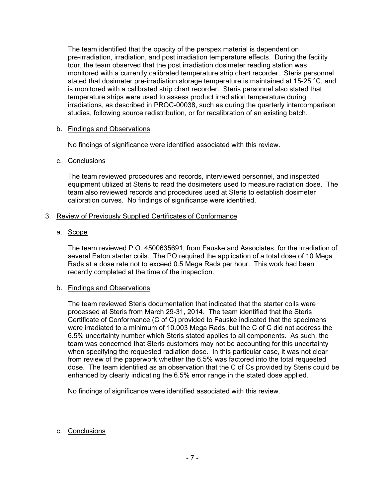The team identified that the opacity of the perspex material is dependent on pre-irradiation, irradiation, and post irradiation temperature effects. During the facility tour, the team observed that the post irradiation dosimeter reading station was monitored with a currently calibrated temperature strip chart recorder. Steris personnel stated that dosimeter pre-irradiation storage temperature is maintained at 15-25 °C, and is monitored with a calibrated strip chart recorder. Steris personnel also stated that temperature strips were used to assess product irradiation temperature during irradiations, as described in PROC-00038, such as during the quarterly intercomparison studies, following source redistribution, or for recalibration of an existing batch.

## b. Findings and Observations

No findings of significance were identified associated with this review.

### c. Conclusions

The team reviewed procedures and records, interviewed personnel, and inspected equipment utilized at Steris to read the dosimeters used to measure radiation dose. The team also reviewed records and procedures used at Steris to establish dosimeter calibration curves. No findings of significance were identified.

### 3. Review of Previously Supplied Certificates of Conformance

### a. Scope

The team reviewed P.O. 4500635691, from Fauske and Associates, for the irradiation of several Eaton starter coils. The PO required the application of a total dose of 10 Mega Rads at a dose rate not to exceed 0.5 Mega Rads per hour. This work had been recently completed at the time of the inspection.

#### b. Findings and Observations

The team reviewed Steris documentation that indicated that the starter coils were processed at Steris from March 29-31, 2014. The team identified that the Steris Certificate of Conformance (C of C) provided to Fauske indicated that the specimens were irradiated to a minimum of 10.003 Mega Rads, but the C of C did not address the 6.5% uncertainty number which Steris stated applies to all components. As such, the team was concerned that Steris customers may not be accounting for this uncertainty when specifying the requested radiation dose. In this particular case, it was not clear from review of the paperwork whether the 6.5% was factored into the total requested dose. The team identified as an observation that the C of Cs provided by Steris could be enhanced by clearly indicating the 6.5% error range in the stated dose applied.

No findings of significance were identified associated with this review.

## c. Conclusions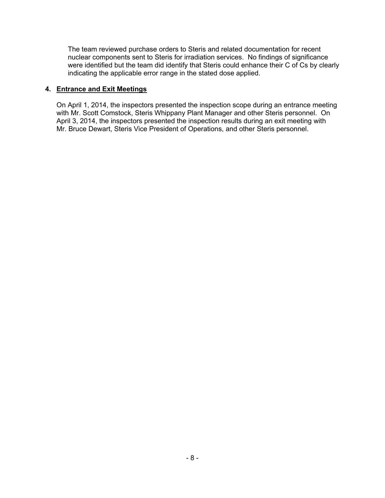The team reviewed purchase orders to Steris and related documentation for recent nuclear components sent to Steris for irradiation services. No findings of significance were identified but the team did identify that Steris could enhance their C of Cs by clearly indicating the applicable error range in the stated dose applied.

## **4. Entrance and Exit Meetings**

On April 1, 2014, the inspectors presented the inspection scope during an entrance meeting with Mr. Scott Comstock, Steris Whippany Plant Manager and other Steris personnel. On April 3, 2014, the inspectors presented the inspection results during an exit meeting with Mr. Bruce Dewart, Steris Vice President of Operations, and other Steris personnel.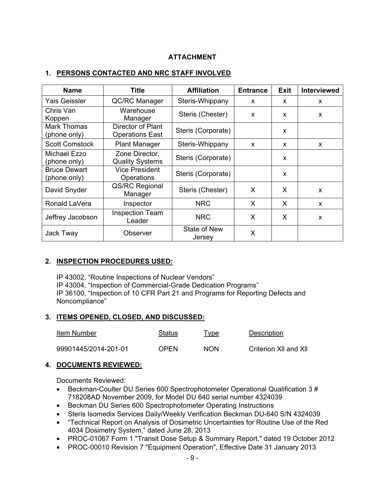# **ATTACHMENT**

# **1. PERSONS CONTACTED AND NRC STAFF INVOLVED**

| <b>Title</b><br><b>Name</b>         |                                             | <b>Affiliation</b>     | <b>Entrance</b> | <b>Exit</b> | <b>Interviewed</b> |
|-------------------------------------|---------------------------------------------|------------------------|-----------------|-------------|--------------------|
| Yais Geissler                       | <b>QC/RC Manager</b>                        | Steris-Whippany        | X               | X           | X                  |
| Chris Van<br>Koppen                 | Warehouse<br>Manager                        | Steris (Chester)       | X               | X           | X                  |
| Mark Thomas<br>(phone only)         | Director of Plant<br><b>Operations East</b> | Steris (Corporate)     |                 | X           |                    |
| <b>Scott Comstock</b>               | <b>Plant Manager</b>                        | Steris-Whippany        | X               | X           | X                  |
| Michael Ezzo<br>(phone only)        | Zone Director,<br><b>Quality Systems</b>    | Steris (Corporate)     |                 | X           |                    |
| <b>Bruce Dewart</b><br>(phone only) | <b>Vice President</b><br>Operations         | Steris (Corporate)     |                 | X           |                    |
| David Snyder                        | QS/RC Regional<br>Manager                   | Steris (Chester)       | X               | X           | X                  |
| Ronald LaVera                       | Inspector                                   | <b>NRC</b>             | X               | X           | X                  |
| Jeffrey Jacobson                    | <b>Inspection Team</b><br>Leader            | <b>NRC</b>             | X               | X           | X                  |
| Jack Tway                           | Observer                                    | State of New<br>Jersey | X               |             |                    |

## **2. INSPECTION PROCEDURES USED:**

IP 43002, "Routine Inspections of Nuclear Vendors" IP 43004, "Inspection of Commercial-Grade Dedication Programs" IP 36100, "Inspection of 10 CFR Part 21 and Programs for Reporting Defects and Noncompliance"

## **3. ITEMS OPENED, CLOSED, AND DISCUSSED:**

| Item Number          | Status      | Type       | Description           |
|----------------------|-------------|------------|-----------------------|
| 99901445/2014-201-01 | <b>OPFN</b> | <b>NON</b> | Criterion XII and XII |

## **4. DOCUMENTS REVIEWED:**

Documents Reviewed:

- Beckman-Coulter DU Series 600 Spectrophotometer Operational Qualification 3 # 718208AD November 2009, for Model DU 640 serial number 4324039
- Beckman DU Series 600 Spectrophotometer Operating Instructions
- Steris Isomedix Services Daily/Weekly Verification Beckman DU-640 S/N 4324039
- "Technical Report on Analysis of Dosimetric Uncertainties for Routine Use of the Red 4034 Dosimetry System," dated June 28, 2013
- PROC-01067 Form 1 "Transit Dose Setup & Summary Report," dated 19 October 2012
- PROC-00010 Revision 7 "Equipment Operation", Effective Date 31 January 2013